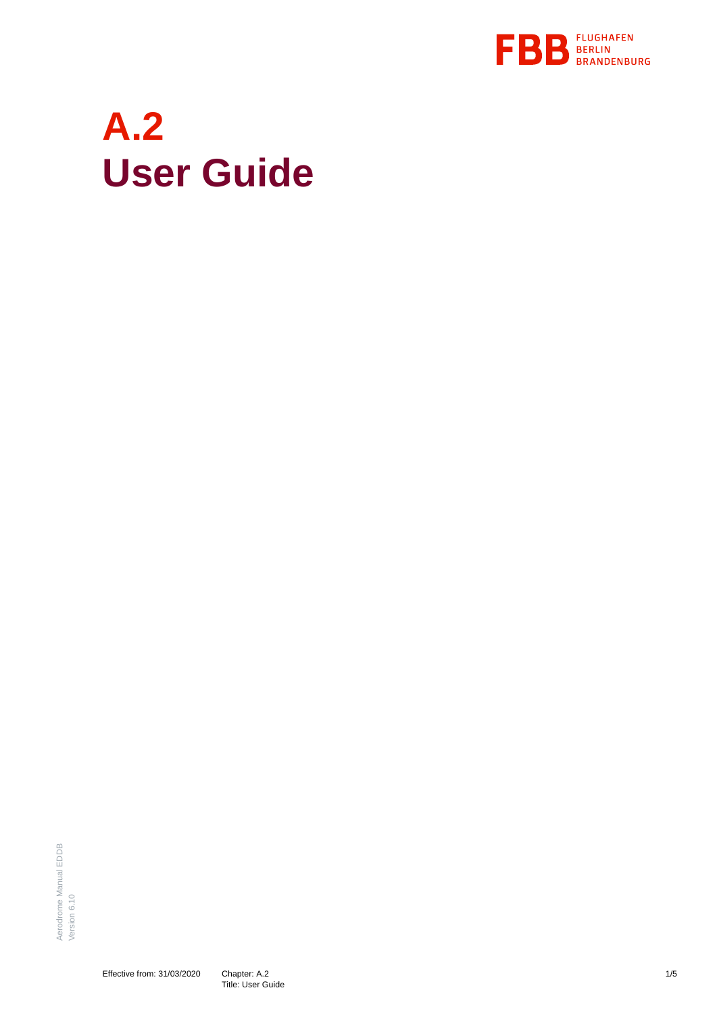

# **A.2 User Guide**

Aerodrome Manual EDDB Aerodrome Manual EDDB Version 6.10 Version 6.10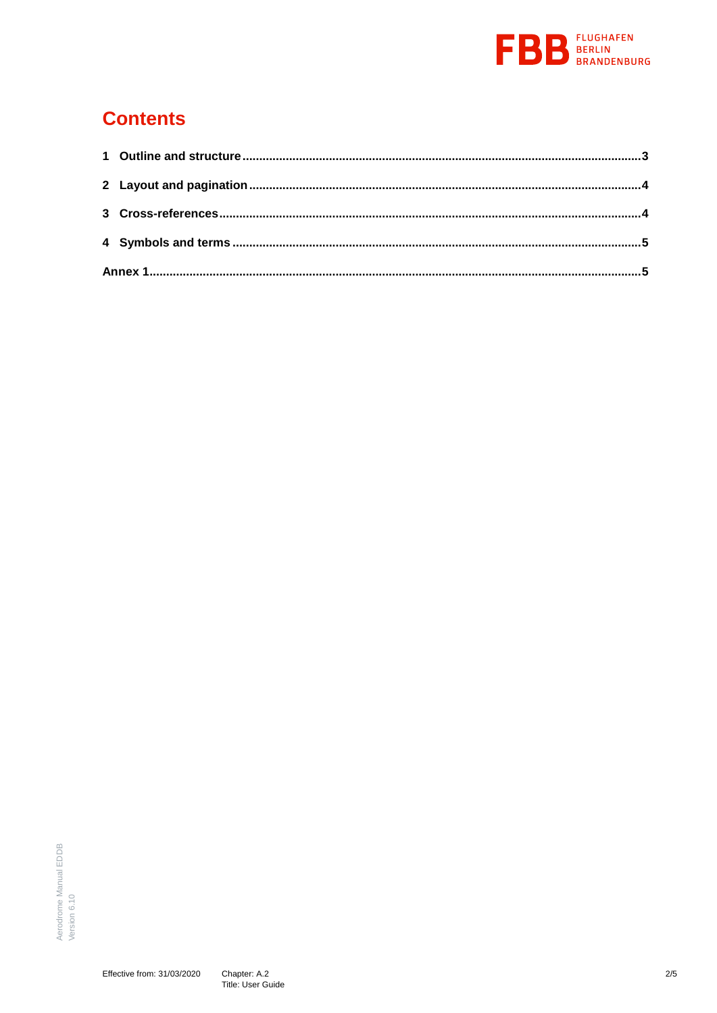

## **Contents**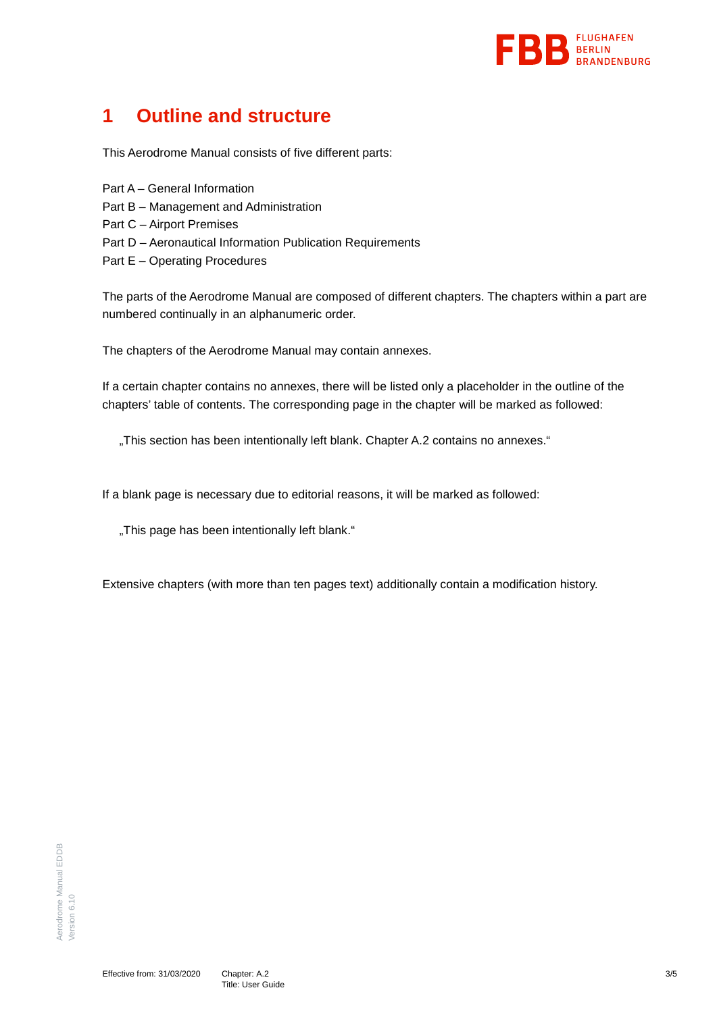

## <span id="page-2-0"></span>**1 Outline and structure**

This Aerodrome Manual consists of five different parts:

- Part A General Information
- Part B Management and Administration
- Part C Airport Premises
- Part D Aeronautical Information Publication Requirements
- Part E Operating Procedures

The parts of the Aerodrome Manual are composed of different chapters. The chapters within a part are numbered continually in an alphanumeric order.

The chapters of the Aerodrome Manual may contain annexes.

If a certain chapter contains no annexes, there will be listed only a placeholder in the outline of the chapters' table of contents. The corresponding page in the chapter will be marked as followed:

"This section has been intentionally left blank. Chapter A.2 contains no annexes."

If a blank page is necessary due to editorial reasons, it will be marked as followed:

"This page has been intentionally left blank."

Extensive chapters (with more than ten pages text) additionally contain a modification history.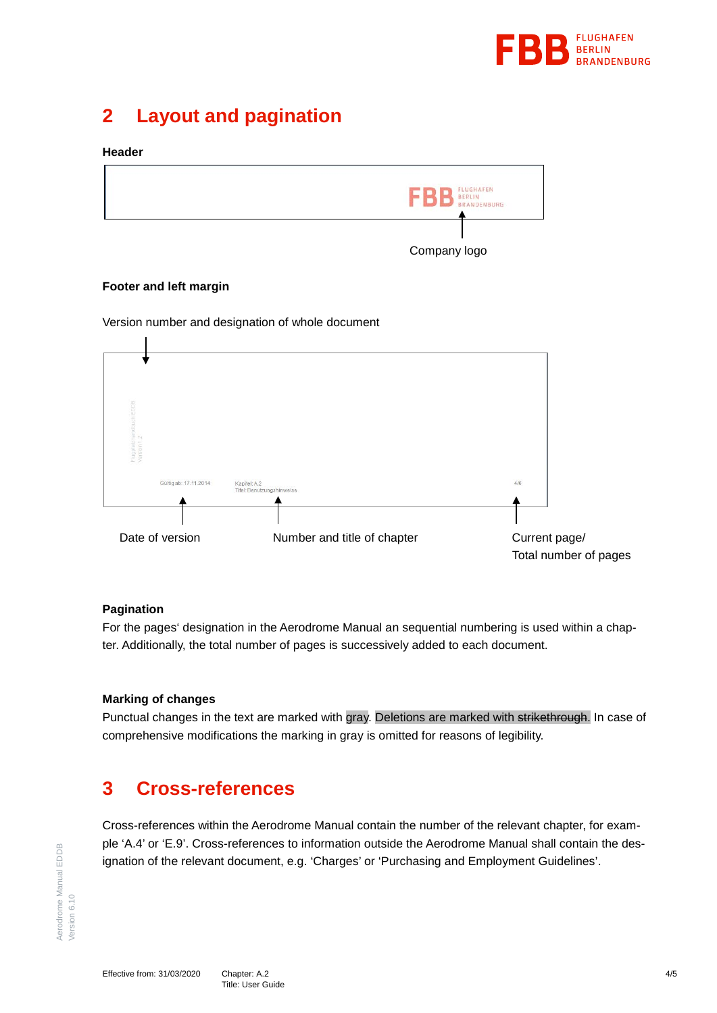

## <span id="page-3-0"></span>**2 Layout and pagination**

#### **Header**



#### **Footer and left margin**

Version number and designation of whole document



#### **Pagination**

For the pages' designation in the Aerodrome Manual an sequential numbering is used within a chapter. Additionally, the total number of pages is successively added to each document.

#### **Marking of changes**

Punctual changes in the text are marked with gray. Deletions are marked with strikethrough. In case of comprehensive modifications the marking in gray is omitted for reasons of legibility.

### <span id="page-3-1"></span>**3 Cross-references**

Cross-references within the Aerodrome Manual contain the number of the relevant chapter, for example 'A.4' or 'E.9'. Cross-references to information outside the Aerodrome Manual shall contain the designation of the relevant document, e.g. 'Charges' or 'Purchasing and Employment Guidelines'.